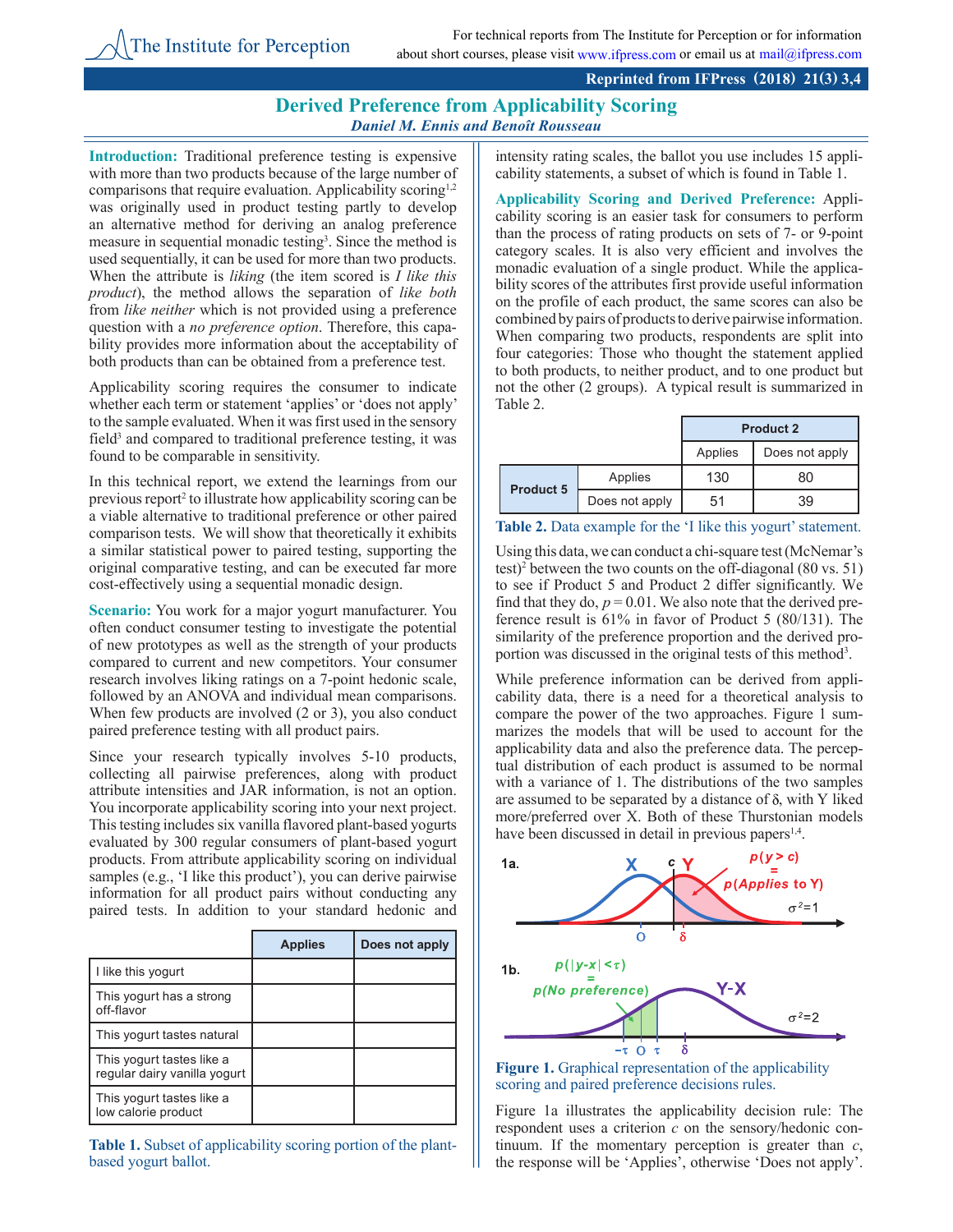## **Derived Preference from Applicability Scoring** *Daniel M. Ennis and Benoît Rousseau*

**Introduction:** Traditional preference testing is expensive with more than two products because of the large number of comparisons that require evaluation. Applicability scoring<sup>1,2</sup> was originally used in product testing partly to develop an alternative method for deriving an analog preference measure in sequential monadic testing<sup>3</sup>. Since the method is used sequentially, it can be used for more than two products. When the attribute is *liking* (the item scored is *I like this product*), the method allows the separation of *like both* from *like neither* which is not provided using a preference question with a *no preference option*. Therefore, this capability provides more information about the acceptability of both products than can be obtained from a preference test.

The Institute for Perception

Applicability scoring requires the consumer to indicate whether each term or statement 'applies' or 'does not apply' to the sample evaluated. When it was first used in the sensory field<sup>3</sup> and compared to traditional preference testing, it was found to be comparable in sensitivity.

In this technical report, we extend the learnings from our previous report<sup>2</sup> to illustrate how applicability scoring can be a viable alternative to traditional preference or other paired comparison tests. We will show that theoretically it exhibits a similar statistical power to paired testing, supporting the original comparative testing, and can be executed far more cost-effectively using a sequential monadic design.

**Scenario:** You work for a major yogurt manufacturer. You often conduct consumer testing to investigate the potential of new prototypes as well as the strength of your products compared to current and new competitors. Your consumer research involves liking ratings on a 7-point hedonic scale, followed by an ANOVA and individual mean comparisons. When few products are involved (2 or 3), you also conduct paired preference testing with all product pairs.

Since your research typically involves 5-10 products, collecting all pairwise preferences, along with product attribute intensities and JAR information, is not an option. You incorporate applicability scoring into your next project. This testing includes six vanilla flavored plant-based yogurts evaluated by 300 regular consumers of plant-based yogurt products. From attribute applicability scoring on individual samples (e.g., 'I like this product'), you can derive pairwise information for all product pairs without conducting any paired tests. In addition to your standard hedonic and

|                                                           | <b>Applies</b> | Does not apply |
|-----------------------------------------------------------|----------------|----------------|
| I like this yogurt                                        |                |                |
| This yogurt has a strong<br>off-flavor                    |                |                |
| This yogurt tastes natural                                |                |                |
| This yogurt tastes like a<br>regular dairy vanilla yogurt |                |                |
| This yogurt tastes like a<br>low calorie product          |                |                |

**Table 1.** Subset of applicability scoring portion of the plantbased yogurt ballot.

intensity rating scales, the ballot you use includes 15 applicability statements, a subset of which is found in Table 1.

**Applicability Scoring and Derived Preference:** Applicability scoring is an easier task for consumers to perform than the process of rating products on sets of 7- or 9-point category scales. It is also very efficient and involves the monadic evaluation of a single product. While the applicability scores of the attributes first provide useful information on the profile of each product, the same scores can also be combined by pairs of products to derive pairwise information. When comparing two products, respondents are split into four categories: Those who thought the statement applied to both products, to neither product, and to one product but not the other (2 groups). A typical result is summarized in Table 2.

|                  |                | <b>Product 2</b> |                |
|------------------|----------------|------------------|----------------|
|                  |                | Applies          | Does not apply |
| <b>Product 5</b> | Applies        | 130              | 80             |
|                  | Does not apply | 51               | 39             |

| Table 2. Data example for the 'I like this yogurt' statement. |  |  |  |
|---------------------------------------------------------------|--|--|--|
|---------------------------------------------------------------|--|--|--|

Using this data, we can conduct a chi-square test (McNemar's test)<sup>2</sup> between the two counts on the off-diagonal  $(80 \text{ vs. } 51)$ to see if Product 5 and Product 2 differ significantly. We find that they do,  $p = 0.01$ . We also note that the derived preference result is 61% in favor of Product 5 (80/131). The similarity of the preference proportion and the derived proportion was discussed in the original tests of this method<sup>3</sup>.

While preference information can be derived from applicability data, there is a need for a theoretical analysis to compare the power of the two approaches. Figure 1 summarizes the models that will be used to account for the applicability data and also the preference data. The perceptual distribution of each product is assumed to be normal with a variance of 1. The distributions of the two samples are assumed to be separated by a distance of  $\delta$ , with Y liked more/preferred over X. Both of these Thurstonian models have been discussed in detail in previous papers<sup>1,4</sup>.



**Figure 1.** Graphical representation of the applicability scoring and paired preference decisions rules.

Figure 1a illustrates the applicability decision rule: The respondent uses a criterion *c* on the sensory/hedonic continuum. If the momentary perception is greater than *c*, the response will be 'Applies', otherwise 'Does not apply'.